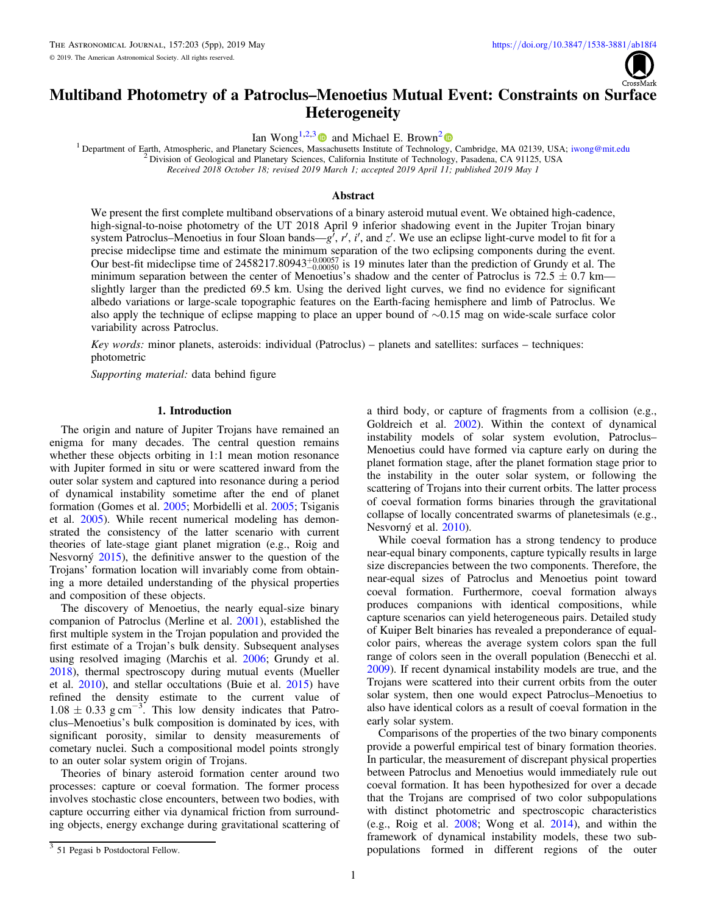

# <span id="page-0-0"></span>Multiband Photometry of a Patroclus–Menoetius Mutual Event: Constraints on Surface **Heterogeneity**

Ian Wong<sup>1,2,[3](https://orcid.org/0000-0001-9665-8429)</sup> and Michael E. Brown<sup>[2](https://orcid.org/0000-0002-8255-0545)</sup>

<sup>1</sup> Department of Earth, Atmospheric, and Planetary Sciences, M[assa](https://orcid.org/0000-0001-9665-8429)chusetts Institute of Technolo[gy,](https://orcid.org/0000-0002-8255-0545) Cambridge, MA 02139, USA; [iwong@mit.edu](mailto:iwong@mit.edu)<br><sup>2</sup> Division of Geological and Planetary Sciences, California Institute of Techn

Received 2018 October 18; revised 2019 March 1; accepted 2019 April 11; published 2019 May 1

# Abstract

We present the first complete multiband observations of a binary asteroid mutual event. We obtained high-cadence, high-signal-to-noise photometry of the UT 2018 April 9 inferior shadowing event in the Jupiter Trojan binary system Patroclus–Menoetius in four Sloan bands— $g'$ , r', i', and  $z'$ . We use an eclipse light-curve model to fit for a precise mideclipse time and estimate the minimum separation of the two eclipsing components during the event. Our best-fit mideclipse time of  $2458217.80943^{+0.00057}_{-0.00050}$  is 19 minutes later than the prediction of Grundy et al. The minimum separation between the center of Menoetius's shadow and the center of Patroclus is  $72.5 \pm 0.7$  km slightly larger than the predicted 69.5 km. Using the derived light curves, we find no evidence for significant albedo variations or large-scale topographic features on the Earth-facing hemisphere and limb of Patroclus. We also apply the technique of eclipse mapping to place an upper bound of ∼0.15 mag on wide-scale surface color variability across Patroclus.

Key words: minor planets, asteroids: individual (Patroclus) – planets and satellites: surfaces – techniques: photometric

Supporting material: data behind figure

# 1. Introduction

The origin and nature of Jupiter Trojans have remained an enigma for many decades. The central question remains whether these objects orbiting in 1:1 mean motion resonance with Jupiter formed in situ or were scattered inward from the outer solar system and captured into resonance during a period of dynamical instability sometime after the end of planet formation (Gomes et al. [2005;](#page-4-0) Morbidelli et al. [2005;](#page-4-0) Tsiganis et al. [2005](#page-4-0)). While recent numerical modeling has demonstrated the consistency of the latter scenario with current theories of late-stage giant planet migration (e.g., Roig and Nesvorný [2015](#page-4-0)), the definitive answer to the question of the Trojans' formation location will invariably come from obtaining a more detailed understanding of the physical properties and composition of these objects.

The discovery of Menoetius, the nearly equal-size binary companion of Patroclus (Merline et al. [2001](#page-4-0)), established the first multiple system in the Trojan population and provided the first estimate of a Trojan's bulk density. Subsequent analyses using resolved imaging (Marchis et al. [2006](#page-4-0); Grundy et al. [2018](#page-4-0)), thermal spectroscopy during mutual events (Mueller et al. [2010](#page-4-0)), and stellar occultations (Buie et al. [2015](#page-4-0)) have refined the density estimate to the current value of  $1.08 \pm 0.33$  g cm<sup>-3</sup>. This low density indicates that Patroclus–Menoetius's bulk composition is dominated by ices, with significant porosity, similar to density measurements of cometary nuclei. Such a compositional model points strongly to an outer solar system origin of Trojans.

Theories of binary asteroid formation center around two processes: capture or coeval formation. The former process involves stochastic close encounters, between two bodies, with capture occurring either via dynamical friction from surrounding objects, energy exchange during gravitational scattering of a third body, or capture of fragments from a collision (e.g., Goldreich et al. [2002](#page-4-0)). Within the context of dynamical instability models of solar system evolution, Patroclus– Menoetius could have formed via capture early on during the planet formation stage, after the planet formation stage prior to the instability in the outer solar system, or following the scattering of Trojans into their current orbits. The latter process of coeval formation forms binaries through the gravitational collapse of locally concentrated swarms of planetesimals (e.g., Nesvorný et al. [2010](#page-4-0)).

While coeval formation has a strong tendency to produce near-equal binary components, capture typically results in large size discrepancies between the two components. Therefore, the near-equal sizes of Patroclus and Menoetius point toward coeval formation. Furthermore, coeval formation always produces companions with identical compositions, while capture scenarios can yield heterogeneous pairs. Detailed study of Kuiper Belt binaries has revealed a preponderance of equalcolor pairs, whereas the average system colors span the full range of colors seen in the overall population (Benecchi et al. [2009](#page-4-0)). If recent dynamical instability models are true, and the Trojans were scattered into their current orbits from the outer solar system, then one would expect Patroclus–Menoetius to also have identical colors as a result of coeval formation in the early solar system.

Comparisons of the properties of the two binary components provide a powerful empirical test of binary formation theories. In particular, the measurement of discrepant physical properties between Patroclus and Menoetius would immediately rule out coeval formation. It has been hypothesized for over a decade that the Trojans are comprised of two color subpopulations with distinct photometric and spectroscopic characteristics (e.g., Roig et al. [2008;](#page-4-0) Wong et al. [2014](#page-4-0)), and within the framework of dynamical instability models, these two subpopulations formed in different regions of the outer

 $\frac{3}{3}$  51 Pegasi b Postdoctoral Fellow.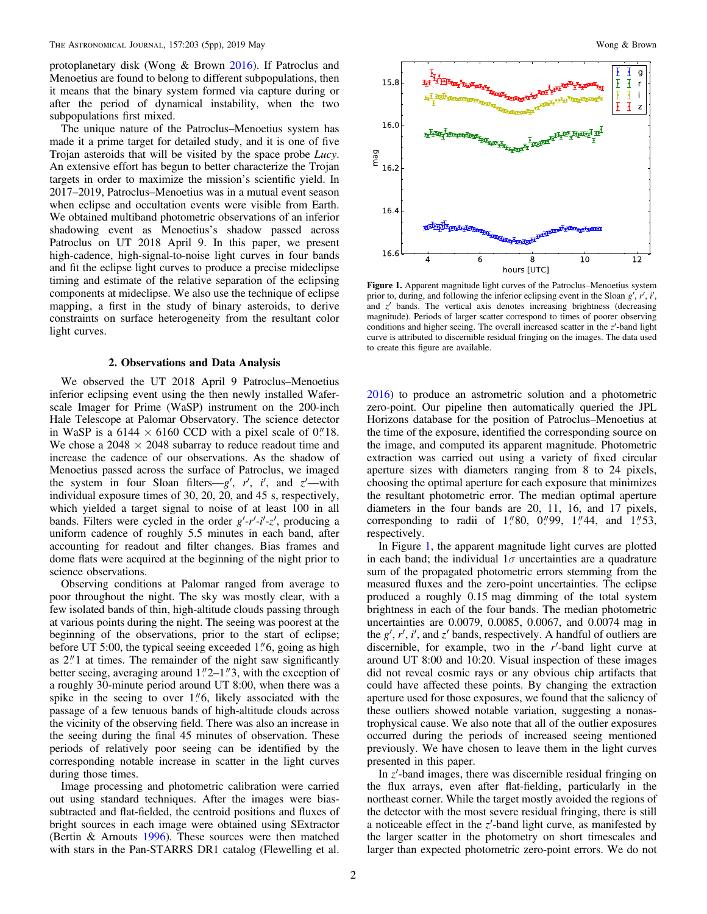<span id="page-1-0"></span>protoplanetary disk (Wong & Brown [2016](#page-4-0)). If Patroclus and Menoetius are found to belong to different subpopulations, then it means that the binary system formed via capture during or after the period of dynamical instability, when the two subpopulations first mixed.

The unique nature of the Patroclus–Menoetius system has made it a prime target for detailed study, and it is one of five Trojan asteroids that will be visited by the space probe *Lucy*. An extensive effort has begun to better characterize the Trojan targets in order to maximize the mission's scientific yield. In 2017–2019, Patroclus–Menoetius was in a mutual event season when eclipse and occultation events were visible from Earth. We obtained multiband photometric observations of an inferior shadowing event as Menoetius's shadow passed across Patroclus on UT 2018 April 9. In this paper, we present high-cadence, high-signal-to-noise light curves in four bands and fit the eclipse light curves to produce a precise mideclipse timing and estimate of the relative separation of the eclipsing components at mideclipse. We also use the technique of eclipse mapping, a first in the study of binary asteroids, to derive constraints on surface heterogeneity from the resultant color light curves.

## 2. Observations and Data Analysis

We observed the UT 2018 April 9 Patroclus–Menoetius inferior eclipsing event using the then newly installed Waferscale Imager for Prime (WaSP) instrument on the 200-inch Hale Telescope at Palomar Observatory. The science detector in WaSP is a 6144  $\times$  6160 CCD with a pixel scale of 0."18. We chose a  $2048 \times 2048$  subarray to reduce readout time and increase the cadence of our observations. As the shadow of Menoetius passed across the surface of Patroclus, we imaged the system in four Sloan filters— $g'$ ,  $r'$ ,  $i'$ , and  $z'$ —with individual exposure times of 30, 20, 20, and 45 s, respectively, which yielded a target signal to noise of at least 100 in all bands. Filters were cycled in the order  $g'-r'-i'-z'$ , producing a uniform cadence of roughly 5.5 minutes in each band, after accounting for readout and filter changes. Bias frames and dome flats were acquired at the beginning of the night prior to science observations.

Observing conditions at Palomar ranged from average to poor throughout the night. The sky was mostly clear, with a few isolated bands of thin, high-altitude clouds passing through at various points during the night. The seeing was poorest at the beginning of the observations, prior to the start of eclipse; before UT 5:00, the typical seeing exceeded  $1\rlap{.}''6$ , going as high as  $2\rlap{.}''1$  at times. The remainder of the night saw significantly better seeing, averaging around  $1''2-1''3$ , with the exception of a roughly 30-minute period around UT 8:00, when there was a spike in the seeing to over  $1\rlap.{''}6$ , likely associated with the passage of a few tenuous bands of high-altitude clouds across the vicinity of the observing field. There was also an increase in the seeing during the final 45 minutes of observation. These periods of relatively poor seeing can be identified by the corresponding notable increase in scatter in the light curves during those times.

Image processing and photometric calibration were carried out using standard techniques. After the images were biassubtracted and flat-fielded, the centroid positions and fluxes of bright sources in each image were obtained using SExtractor (Bertin & Arnouts [1996](#page-4-0)). These sources were then matched with stars in the Pan-STARRS DR1 catalog (Flewelling et al.



Figure 1. Apparent magnitude light curves of the Patroclus–Menoetius system prior to, during, and following the inferior eclipsing event in the Sloan  $g'$ ,  $r'$ ,  $i'$ , and  $z'$  bands. The vertical axis denotes increasing brightness (decreasing magnitude). Periods of larger scatter correspond to times of poorer observing conditions and higher seeing. The overall increased scatter in the  $z'$ -band light curve is attributed to discernible residual fringing on the images. The data used to create this figure are available.

[2016](#page-4-0)) to produce an astrometric solution and a photometric zero-point. Our pipeline then automatically queried the JPL Horizons database for the position of Patroclus–Menoetius at the time of the exposure, identified the corresponding source on the image, and computed its apparent magnitude. Photometric extraction was carried out using a variety of fixed circular aperture sizes with diameters ranging from 8 to 24 pixels, choosing the optimal aperture for each exposure that minimizes the resultant photometric error. The median optimal aperture diameters in the four bands are 20, 11, 16, and 17 pixels, corresponding to radii of  $1''80$ ,  $0''99$ ,  $1''44$ , and  $1''53$ , respectively.

In Figure 1, the apparent magnitude light curves are plotted in each band; the individual  $1\sigma$  uncertainties are a quadrature sum of the propagated photometric errors stemming from the measured fluxes and the zero-point uncertainties. The eclipse produced a roughly 0.15 mag dimming of the total system brightness in each of the four bands. The median photometric uncertainties are 0.0079, 0.0085, 0.0067, and 0.0074 mag in the  $g'$ ,  $r'$ ,  $i'$ , and  $z'$  bands, respectively. A handful of outliers are discernible, for example, two in the  $r'$ -band light curve at around UT 8:00 and 10:20. Visual inspection of these images did not reveal cosmic rays or any obvious chip artifacts that could have affected these points. By changing the extraction aperture used for those exposures, we found that the saliency of these outliers showed notable variation, suggesting a nonastrophysical cause. We also note that all of the outlier exposures occurred during the periods of increased seeing mentioned previously. We have chosen to leave them in the light curves presented in this paper.

In  $z'$ -band images, there was discernible residual fringing on the flux arrays, even after flat-fielding, particularly in the northeast corner. While the target mostly avoided the regions of the detector with the most severe residual fringing, there is still a noticeable effect in the  $z'$ -band light curve, as manifested by the larger scatter in the photometry on short timescales and larger than expected photometric zero-point errors. We do not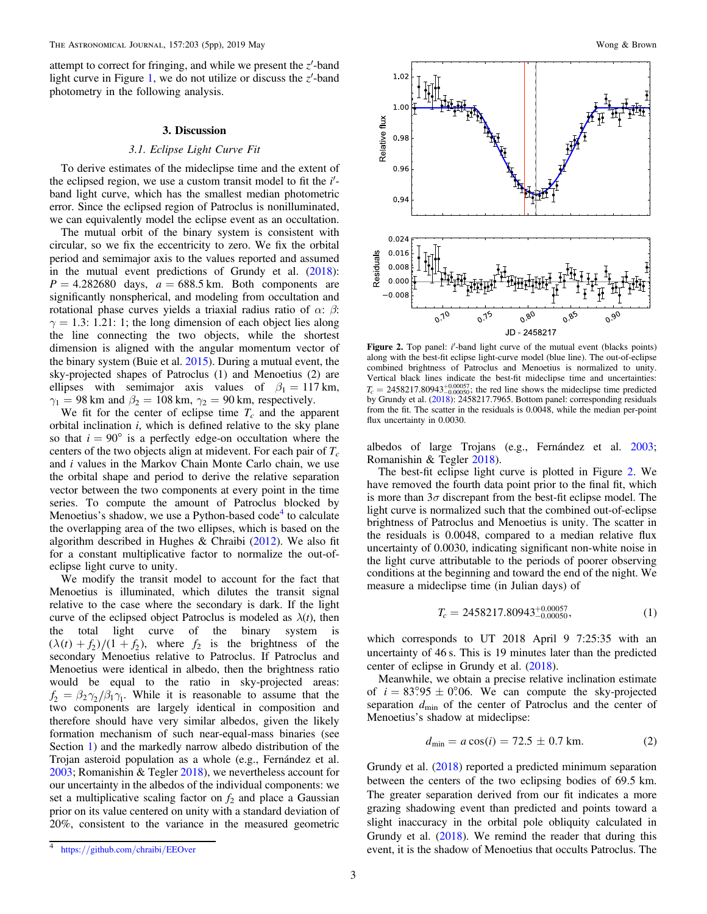<span id="page-2-0"></span>attempt to correct for fringing, and while we present the  $z'$ -band light curve in Figure [1,](#page-1-0) we do not utilize or discuss the  $z'$ -band photometry in the following analysis.

#### 3. Discussion

#### 3.1. Eclipse Light Curve Fit

To derive estimates of the mideclipse time and the extent of the eclipsed region, we use a custom transit model to fit the  $i'$ band light curve, which has the smallest median photometric error. Since the eclipsed region of Patroclus is nonilluminated, we can equivalently model the eclipse event as an occultation.

The mutual orbit of the binary system is consistent with circular, so we fix the eccentricity to zero. We fix the orbital period and semimajor axis to the values reported and assumed in the mutual event predictions of Grundy et al. ([2018](#page-4-0)):  $P = 4.282680$  days,  $a = 688.5$  km. Both components are significantly nonspherical, and modeling from occultation and rotational phase curves yields a triaxial radius ratio of α: β:  $\gamma = 1.3: 1.21: 1$ ; the long dimension of each object lies along the line connecting the two objects, while the shortest dimension is aligned with the angular momentum vector of the binary system (Buie et al. [2015](#page-4-0)). During a mutual event, the sky-projected shapes of Patroclus (1) and Menoetius (2) are ellipses with semimajor axis values of  $\beta_1 = 117 \text{ km}$ ,  $\gamma_1 = 98$  km and  $\beta_2 = 108$  km,  $\gamma_2 = 90$  km, respectively.

We fit for the center of eclipse time  $T_c$  and the apparent orbital inclination i, which is defined relative to the sky plane so that  $i = 90^{\circ}$  is a perfectly edge-on occultation where the centers of the two objects align at midevent. For each pair of  $T_c$ and i values in the Markov Chain Monte Carlo chain, we use the orbital shape and period to derive the relative separation vector between the two components at every point in the time series. To compute the amount of Patroclus blocked by Menoetius's shadow, we use a Python-based  $code<sup>4</sup>$  to calculate the overlapping area of the two ellipses, which is based on the algorithm described in Hughes & Chraibi  $(2012)$  $(2012)$  $(2012)$ . We also fit for a constant multiplicative factor to normalize the out-ofeclipse light curve to unity.

We modify the transit model to account for the fact that Menoetius is illuminated, which dilutes the transit signal relative to the case where the secondary is dark. If the light curve of the eclipsed object Patroclus is modeled as  $\lambda(t)$ , then the total light curve of the binary system is  $(\lambda(t) + f_2)/(1 + f_2)$ , where  $f_2$  is the brightness of the secondary Menoetius relative to Patroclus. If Patroclus and Menoetius were identical in albedo, then the brightness ratio would be equal to the ratio in sky-projected areas:  $f_2 = \beta_2 \gamma_2 / \beta_1 \gamma_1$ . While it is reasonable to assume that the two components are largely identical in composition and therefore should have very similar albedos, given the likely formation mechanism of such near-equal-mass binaries (see Section [1](#page-0-0)) and the markedly narrow albedo distribution of the Trojan asteroid population as a whole (e.g., Fernández et al. [2003;](#page-4-0) Romanishin & Tegler [2018](#page-4-0)), we nevertheless account for our uncertainty in the albedos of the individual components: we set a multiplicative scaling factor on  $f_2$  and place a Gaussian prior on its value centered on unity with a standard deviation of 20%, consistent to the variance in the measured geometric



Figure 2. Top panel: i'-band light curve of the mutual event (blacks points) along with the best-fit eclipse light-curve model (blue line). The out-of-eclipse combined brightness of Patroclus and Menoetius is normalized to unity. Vertical black lines indicate the best-fit mideclipse time and uncertainties:  $T_c = 2458217.80943^{+0.00057}_{-0.00050}$ ; the red line shows the mideclipse time predicted by Grundy et al. ([2018](#page-4-0)): 2458217.7965. Bottom panel: corresponding residuals from the fit. The scatter in the residuals is 0.0048, while the median per-point flux uncertainty in 0.0030.

albedos of large Trojans (e.g., Fernández et al. [2003](#page-4-0); Romanishin & Tegler [2018](#page-4-0)).

The best-fit eclipse light curve is plotted in Figure 2. We have removed the fourth data point prior to the final fit, which is more than  $3\sigma$  discrepant from the best-fit eclipse model. The light curve is normalized such that the combined out-of-eclipse brightness of Patroclus and Menoetius is unity. The scatter in the residuals is 0.0048, compared to a median relative flux uncertainty of 0.0030, indicating significant non-white noise in the light curve attributable to the periods of poorer observing conditions at the beginning and toward the end of the night. We measure a mideclipse time (in Julian days) of

$$
T_c = 2458217.80943^{+0.00057}_{-0.00050},\tag{1}
$$

which corresponds to UT 2018 April 9 7:25:35 with an uncertainty of 46 s. This is 19 minutes later than the predicted center of eclipse in Grundy et al. ([2018](#page-4-0)).

Meanwhile, we obtain a precise relative inclination estimate of  $i = 83°.95 \pm 0°.06$ . We can compute the sky-projected separation  $d_{\text{min}}$  of the center of Patroclus and the center of Menoetius's shadow at mideclipse:

$$
d_{\min} = a \cos(i) = 72.5 \pm 0.7 \text{ km.}
$$
 (2)

Grundy et al. ([2018](#page-4-0)) reported a predicted minimum separation between the centers of the two eclipsing bodies of 69.5 km. The greater separation derived from our fit indicates a more grazing shadowing event than predicted and points toward a slight inaccuracy in the orbital pole obliquity calculated in Grundy et al. ([2018](#page-4-0)). We remind the reader that during this event, it is the shadow of Menoetius that occults Patroclus. The

https://[github.com](https://github.com/chraibi/EEOver)/chraibi/EEOver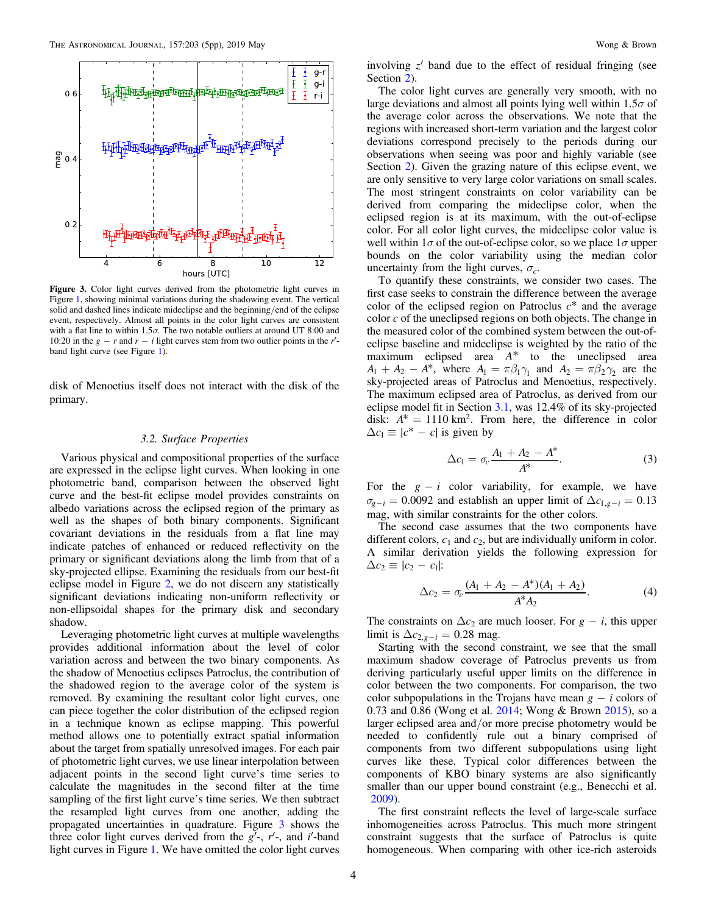

Figure 3. Color light curves derived from the photometric light curves in Figure [1,](#page-1-0) showing minimal variations during the shadowing event. The vertical solid and dashed lines indicate mideclipse and the beginning/end of the eclipse event, respectively. Almost all points in the color light curves are consistent with a flat line to within 1.5 $\sigma$ . The two notable outliers at around UT 8:00 and 10:20 in the  $g - r$  and  $r - i$  light curves stem from two outlier points in the r'band light curve (see Figure [1](#page-1-0)).

disk of Menoetius itself does not interact with the disk of the primary.

# 3.2. Surface Properties

Various physical and compositional properties of the surface are expressed in the eclipse light curves. When looking in one photometric band, comparison between the observed light curve and the best-fit eclipse model provides constraints on albedo variations across the eclipsed region of the primary as well as the shapes of both binary components. Significant covariant deviations in the residuals from a flat line may indicate patches of enhanced or reduced reflectivity on the primary or significant deviations along the limb from that of a sky-projected ellipse. Examining the residuals from our best-fit eclipse model in Figure [2,](#page-2-0) we do not discern any statistically significant deviations indicating non-uniform reflectivity or non-ellipsoidal shapes for the primary disk and secondary shadow.

Leveraging photometric light curves at multiple wavelengths provides additional information about the level of color variation across and between the two binary components. As the shadow of Menoetius eclipses Patroclus, the contribution of the shadowed region to the average color of the system is removed. By examining the resultant color light curves, one can piece together the color distribution of the eclipsed region in a technique known as eclipse mapping. This powerful method allows one to potentially extract spatial information about the target from spatially unresolved images. For each pair of photometric light curves, we use linear interpolation between adjacent points in the second light curve's time series to calculate the magnitudes in the second filter at the time sampling of the first light curve's time series. We then subtract the resampled light curves from one another, adding the propagated uncertainties in quadrature. Figure 3 shows the three color light curves derived from the  $g'$ -,  $r'$ -, and i'-band light curves in Figure [1](#page-1-0). We have omitted the color light curves

involving  $z'$  band due to the effect of residual fringing (see Section [2](#page-1-0)).

The color light curves are generally very smooth, with no large deviations and almost all points lying well within  $1.5\sigma$  of the average color across the observations. We note that the regions with increased short-term variation and the largest color deviations correspond precisely to the periods during our observations when seeing was poor and highly variable (see Section [2](#page-1-0)). Given the grazing nature of this eclipse event, we are only sensitive to very large color variations on small scales. The most stringent constraints on color variability can be derived from comparing the mideclipse color, when the eclipsed region is at its maximum, with the out-of-eclipse color. For all color light curves, the mideclipse color value is well within  $1\sigma$  of the out-of-eclipse color, so we place  $1\sigma$  upper bounds on the color variability using the median color uncertainty from the light curves,  $\sigma_c$ .

To quantify these constraints, we consider two cases. The first case seeks to constrain the difference between the average color of the eclipsed region on Patroclus  $c^*$  and the average color c of the uneclipsed regions on both objects. The change in the measured color of the combined system between the out-ofeclipse baseline and mideclipse is weighted by the ratio of the maximum eclipsed area *A*\* to the uneclipsed area  $A_1 + A_2 - A^*$ , where  $A_1 = \pi \beta_1 \gamma_1$  and  $A_2 = \pi \beta_2 \gamma_2$  are the sky-projected areas of Patroclus and Menoetius, respectively. The maximum eclipsed area of Patroclus, as derived from our eclipse model fit in Section [3.1](#page-2-0), was 12.4% of its sky-projected disk:  $A^* = 1110 \text{ km}^2$ . From here, the difference in color  $\Delta c_1 \equiv |c^* - c|$  is given by

$$
\Delta c_1 = \sigma_c \frac{A_1 + A_2 - A^*}{A^*}.
$$
 (3)

For the  $g - i$  color variability, for example, we have  $\sigma_{g-i} = 0.0092$  and establish an upper limit of  $\Delta c_{1,g-i} = 0.13$ mag, with similar constraints for the other colors.

The second case assumes that the two components have different colors,  $c_1$  and  $c_2$ , but are individually uniform in color. A similar derivation yields the following expression for  $\Delta c_2 \equiv |c_2 - c_1|$ :

$$
\Delta c_2 = \sigma_c \frac{(A_1 + A_2 - A^*)(A_1 + A_2)}{A^* A_2}.
$$
 (4)

The constraints on  $\Delta c_2$  are much looser. For  $g - i$ , this upper limit is  $\Delta c_{2,g-i} = 0.28$  mag.

Starting with the second constraint, we see that the small maximum shadow coverage of Patroclus prevents us from deriving particularly useful upper limits on the difference in color between the two components. For comparison, the two color subpopulations in the Trojans have mean  $g - i$  colors of 0.73 and 0.86 (Wong et al. [2014;](#page-4-0) Wong & Brown [2015](#page-4-0)), so a larger eclipsed area and/or more precise photometry would be needed to confidently rule out a binary comprised of components from two different subpopulations using light curves like these. Typical color differences between the components of KBO binary systems are also significantly smaller than our upper bound constraint (e.g., Benecchi et al. [2009](#page-4-0)).

The first constraint reflects the level of large-scale surface inhomogeneities across Patroclus. This much more stringent constraint suggests that the surface of Patroclus is quite homogeneous. When comparing with other ice-rich asteroids